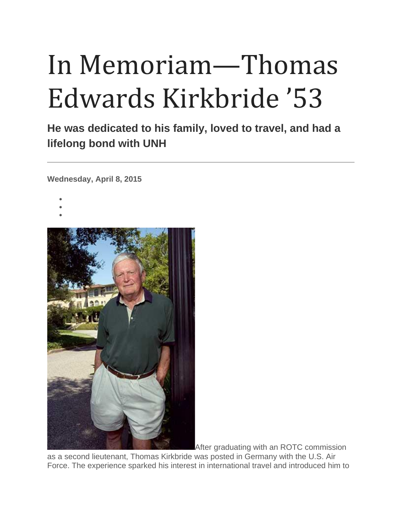## In Memoriam—Thomas Edwards Kirkbride '53

**He was dedicated to his family, loved to travel, and had a lifelong bond with UNH**

**Wednesday, April 8, 2015**

- •
- •
- •



After graduating with an ROTC commission

as a second lieutenant, Thomas Kirkbride was posted in Germany with the U.S. Air Force. The experience sparked his interest in international travel and introduced him to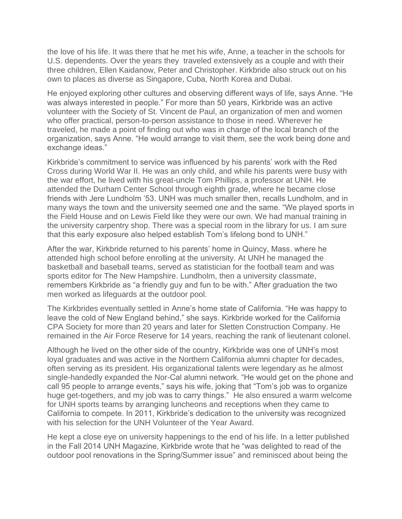the love of his life. It was there that he met his wife, Anne, a teacher in the schools for U.S. dependents. Over the years they traveled extensively as a couple and with their three children, Ellen Kaidanow, Peter and Christopher. Kirkbride also struck out on his own to places as diverse as Singapore, Cuba, North Korea and Dubai.

He enjoyed exploring other cultures and observing different ways of life, says Anne. "He was always interested in people." For more than 50 years, Kirkbride was an active volunteer with the Society of St. Vincent de Paul, an organization of men and women who offer practical, person-to-person assistance to those in need. Wherever he traveled, he made a point of finding out who was in charge of the local branch of the organization, says Anne. "He would arrange to visit them, see the work being done and exchange ideas."

Kirkbride's commitment to service was influenced by his parents' work with the Red Cross during World War II. He was an only child, and while his parents were busy with the war effort, he lived with his great-uncle Tom Phillips, a professor at UNH. He attended the Durham Center School through eighth grade, where he became close friends with Jere Lundholm '53. UNH was much smaller then, recalls Lundholm, and in many ways the town and the university seemed one and the same. "We played sports in the Field House and on Lewis Field like they were our own. We had manual training in the university carpentry shop. There was a special room in the library for us. I am sure that this early exposure also helped establish Tom's lifelong bond to UNH."

After the war, Kirkbride returned to his parents' home in Quincy, Mass. where he attended high school before enrolling at the university. At UNH he managed the basketball and baseball teams, served as statistician for the football team and was sports editor for The New Hampshire. Lundholm, then a university classmate, remembers Kirkbride as "a friendly guy and fun to be with." After graduation the two men worked as lifeguards at the outdoor pool.

The Kirkbrides eventually settled in Anne's home state of California. "He was happy to leave the cold of New England behind," she says. Kirkbride worked for the California CPA Society for more than 20 years and later for Sletten Construction Company. He remained in the Air Force Reserve for 14 years, reaching the rank of lieutenant colonel.

Although he lived on the other side of the country, Kirkbride was one of UNH's most loyal graduates and was active in the Northern California alumni chapter for decades, often serving as its president. His organizational talents were legendary as he almost single-handedly expanded the Nor-Cal alumni network. "He would get on the phone and call 95 people to arrange events," says his wife, joking that "Tom's job was to organize huge get-togethers, and my job was to carry things." He also ensured a warm welcome for UNH sports teams by arranging luncheons and receptions when they came to California to compete. In 2011, Kirkbride's dedication to the university was recognized with his selection for the UNH Volunteer of the Year Award.

He kept a close eye on university happenings to the end of his life. In a letter published in the Fall 2014 UNH Magazine, Kirkbride wrote that he "was delighted to read of the outdoor pool renovations in the Spring/Summer issue" and reminisced about being the